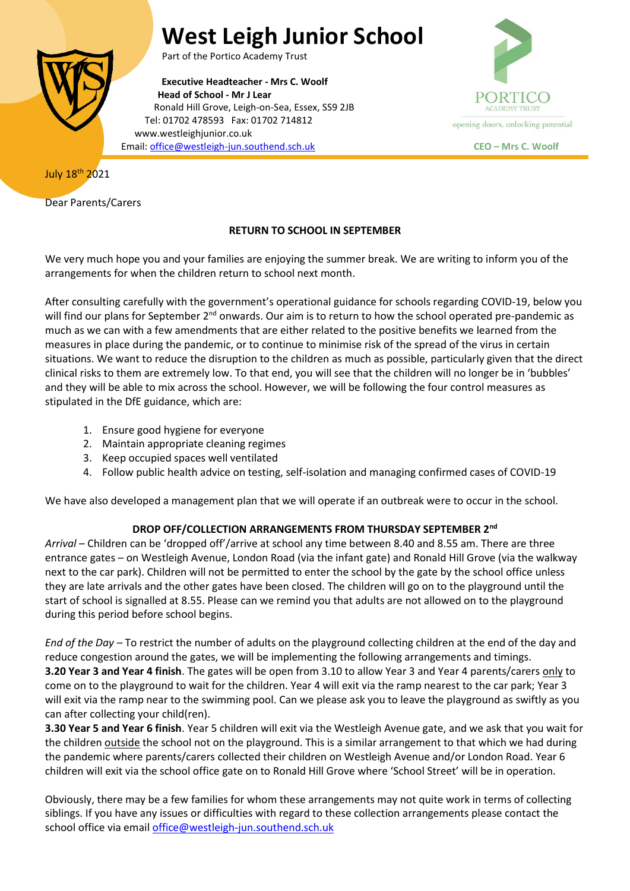# **West Leigh Junior School**



Part of the Portico Academy Trust

**Executive Headteacher - Mrs C. Woolf Head of School - Mr J Lear** Ronald Hill Grove, Leigh-on-Sea, Essex, SS9 2JB Tel: 01702 478593 Fax: 01702 714812 www.westleighjunior.co.uk Email[: office@westleigh-jun.southend.sch.uk](mailto:office@westleigh-jun.southend.sch.uk) **CEO – Mrs C. Woolf**



July 18th 2021

Dear Parents/Carers

# **RETURN TO SCHOOL IN SEPTEMBER**

We very much hope you and your families are enjoying the summer break. We are writing to inform you of the arrangements for when the children return to school next month.

After consulting carefully with the government's operational guidance for schools regarding COVID-19, below you will find our plans for September 2<sup>nd</sup> onwards. Our aim is to return to how the school operated pre-pandemic as much as we can with a few amendments that are either related to the positive benefits we learned from the measures in place during the pandemic, or to continue to minimise risk of the spread of the virus in certain situations. We want to reduce the disruption to the children as much as possible, particularly given that the direct clinical risks to them are extremely low. To that end, you will see that the children will no longer be in 'bubbles' and they will be able to mix across the school. However, we will be following the four control measures as stipulated in the DfE guidance, which are:

- 1. Ensure good hygiene for everyone
- 2. Maintain appropriate cleaning regimes
- 3. Keep occupied spaces well ventilated
- 4. Follow public health advice on testing, self-isolation and managing confirmed cases of COVID-19

We have also developed a management plan that we will operate if an outbreak were to occur in the school.

# **DROP OFF/COLLECTION ARRANGEMENTS FROM THURSDAY SEPTEMBER 2nd**

*Arrival* – Children can be 'dropped off'/arrive at school any time between 8.40 and 8.55 am. There are three entrance gates – on Westleigh Avenue, London Road (via the infant gate) and Ronald Hill Grove (via the walkway next to the car park). Children will not be permitted to enter the school by the gate by the school office unless they are late arrivals and the other gates have been closed. The children will go on to the playground until the start of school is signalled at 8.55. Please can we remind you that adults are not allowed on to the playground during this period before school begins.

*End of the Day –* To restrict the number of adults on the playground collecting children at the end of the day and reduce congestion around the gates, we will be implementing the following arrangements and timings. **3.20 Year 3 and Year 4 finish**. The gates will be open from 3.10 to allow Year 3 and Year 4 parents/carers only to come on to the playground to wait for the children. Year 4 will exit via the ramp nearest to the car park; Year 3 will exit via the ramp near to the swimming pool. Can we please ask you to leave the playground as swiftly as you can after collecting your child(ren).

**3.30 Year 5 and Year 6 finish**. Year 5 children will exit via the Westleigh Avenue gate, and we ask that you wait for the children outside the school not on the playground. This is a similar arrangement to that which we had during the pandemic where parents/carers collected their children on Westleigh Avenue and/or London Road. Year 6 children will exit via the school office gate on to Ronald Hill Grove where 'School Street' will be in operation.

Obviously, there may be a few families for whom these arrangements may not quite work in terms of collecting siblings. If you have any issues or difficulties with regard to these collection arrangements please contact the school office via email [office@westleigh-jun.southend.sch.uk](mailto:office@westleigh-jun.southend.sch.uk)